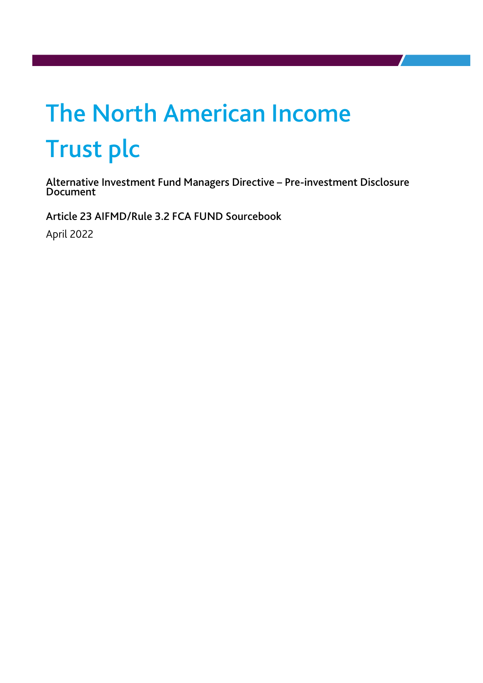# The North American Income Trust plc

Alternative Investment Fund Managers Directive – Pre-investment Disclosure Document

Article 23 AIFMD/Rule 3.2 FCA FUND Sourcebook

April 2022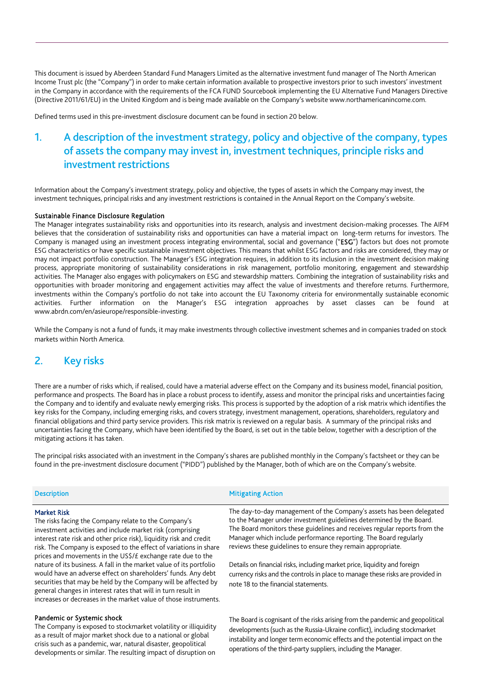This document is issued by Aberdeen Standard Fund Managers Limited as the alternative investment fund manager of The North American Income Trust plc (the "Company") in order to make certain information available to prospective investors prior to such investors' investment in the Company in accordance with the requirements of the FCA FUND Sourcebook implementing the EU Alternative Fund Managers Directive (Directive 2011/61/EU) in the United Kingdom and is being made available on the Company's website www.northamericanincome.com.

Defined terms used in this pre-investment disclosure document can be found in section 20 below.

# 1. A description of the investment strategy, policy and objective of the company, types of assets the company may invest in, investment techniques, principle risks and investment restrictions

Information about the Company's investment strategy, policy and objective, the types of assets in which the Company may invest, the investment techniques, principal risks and any investment restrictions is contained in the Annual Report on the Company's website.

#### Sustainable Finance Disclosure Regulation

The Manager integrates sustainability risks and opportunities into its research, analysis and investment decision-making processes. The AIFM believes that the consideration of sustainability risks and opportunities can have a material impact on long-term returns for investors. The Company is managed using an investment process integrating environmental, social and governance ("ESG") factors but does not promote ESG characteristics or have specific sustainable investment objectives. This means that whilst ESG factors and risks are considered, they may or may not impact portfolio construction. The Manager's ESG integration requires, in addition to its inclusion in the investment decision making process, appropriate monitoring of sustainability considerations in risk management, portfolio monitoring, engagement and stewardship activities. The Manager also engages with policymakers on ESG and stewardship matters. Combining the integration of sustainability risks and opportunities with broader monitoring and engagement activities may affect the value of investments and therefore returns. Furthermore, investments within the Company's portfolio do not take into account the EU Taxonomy criteria for environmentally sustainable economic activities. Further information on the Manager's ESG integration approaches by asset classes can be found at www.abrdn.com/en/asieurope/responsible-investing.

While the Company is not a fund of funds, it may make investments through collective investment schemes and in companies traded on stock markets within North America.

## 2. Key risks

There are a number of risks which, if realised, could have a material adverse effect on the Company and its business model, financial position, performance and prospects. The Board has in place a robust process to identify, assess and monitor the principal risks and uncertainties facing the Company and to identify and evaluate newly emerging risks. This process is supported by the adoption of a risk matrix which identifies the key risks for the Company, including emerging risks, and covers strategy, investment management, operations, shareholders, regulatory and financial obligations and third party service providers. This risk matrix is reviewed on a regular basis. A summary of the principal risks and uncertainties facing the Company, which have been identified by the Board, is set out in the table below, together with a description of the mitigating actions it has taken.

The principal risks associated with an investment in the Company's shares are published monthly in the Company's factsheet or they can be found in the pre-investment disclosure document ("PIDD") published by the Manager, both of which are on the Company's website.

| <b>Description</b> | <b>Mitigating Action</b> |
|--------------------|--------------------------|
|                    |                          |

## Market Risk

The risks facing the Company relate to the Company's investment activities and include market risk (comprising interest rate risk and other price risk), liquidity risk and credit risk. The Company is exposed to the effect of variations in share prices and movements in the US\$/£ exchange rate due to the nature of its business. A fall in the market value of its portfolio would have an adverse effect on shareholders' funds. Any debt securities that may be held by the Company will be affected by general changes in interest rates that will in turn result in increases or decreases in the market value of those instruments.

#### Pandemic or Systemic shock

The Company is exposed to stockmarket volatility or illiquidity as a result of major market shock due to a national or global crisis such as a pandemic, war, natural disaster, geopolitical developments or similar. The resulting impact of disruption on

The day-to-day management of the Company's assets has been delegated to the Manager under investment guidelines determined by the Board. The Board monitors these guidelines and receives regular reports from the Manager which include performance reporting. The Board regularly reviews these guidelines to ensure they remain appropriate.

Details on financial risks, including market price, liquidity and foreign currency risks and the controls in place to manage these risks are provided in note 18 to the financial statements.

The Board is cognisant of the risks arising from the pandemic and geopolitical developments (such as the Russia-Ukraine conflict), including stockmarket instability and longer term economic effects and the potential impact on the operations of the third-party suppliers, including the Manager.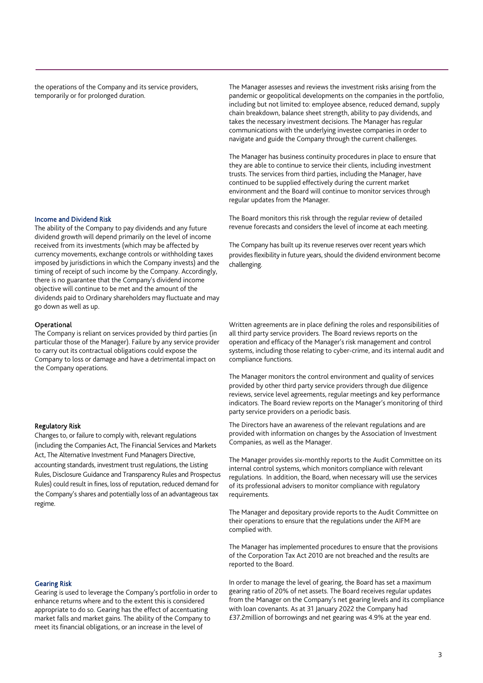the operations of the Company and its service providers, temporarily or for prolonged duration.

The Manager assesses and reviews the investment risks arising from the pandemic or geopolitical developments on the companies in the portfolio, including but not limited to: employee absence, reduced demand, supply chain breakdown, balance sheet strength, ability to pay dividends, and takes the necessary investment decisions. The Manager has regular communications with the underlying investee companies in order to navigate and guide the Company through the current challenges.

The Manager has business continuity procedures in place to ensure that they are able to continue to service their clients, including investment trusts. The services from third parties, including the Manager, have continued to be supplied effectively during the current market environment and the Board will continue to monitor services through regular updates from the Manager.

The Board monitors this risk through the regular review of detailed revenue forecasts and considers the level of income at each meeting.

The Company has built up its revenue reserves over recent years which provides flexibility in future years, should the dividend environment become challenging.

Written agreements are in place defining the roles and responsibilities of all third party service providers. The Board reviews reports on the operation and efficacy of the Manager's risk management and control systems, including those relating to cyber-crime, and its internal audit and compliance functions.

The Manager monitors the control environment and quality of services provided by other third party service providers through due diligence reviews, service level agreements, regular meetings and key performance indicators. The Board review reports on the Manager's monitoring of third party service providers on a periodic basis.

The Directors have an awareness of the relevant regulations and are provided with information on changes by the Association of Investment Companies, as well as the Manager.

The Manager provides six-monthly reports to the Audit Committee on its internal control systems, which monitors compliance with relevant regulations. In addition, the Board, when necessary will use the services of its professional advisers to monitor compliance with regulatory requirements.

The Manager and depositary provide reports to the Audit Committee on their operations to ensure that the regulations under the AIFM are complied with.

The Manager has implemented procedures to ensure that the provisions of the Corporation Tax Act 2010 are not breached and the results are reported to the Board.

In order to manage the level of gearing, the Board has set a maximum gearing ratio of 20% of net assets. The Board receives regular updates from the Manager on the Company's net gearing levels and its compliance with loan covenants. As at 31 January 2022 the Company had £37.2million of borrowings and net gearing was 4.9% at the year end.

#### Income and Dividend Risk

The ability of the Company to pay dividends and any future dividend growth will depend primarily on the level of income received from its investments (which may be affected by currency movements, exchange controls or withholding taxes imposed by jurisdictions in which the Company invests) and the timing of receipt of such income by the Company. Accordingly, there is no guarantee that the Company's dividend income objective will continue to be met and the amount of the dividends paid to Ordinary shareholders may fluctuate and may go down as well as up.

#### Operational

The Company is reliant on services provided by third parties (in particular those of the Manager). Failure by any service provider to carry out its contractual obligations could expose the Company to loss or damage and have a detrimental impact on the Company operations.

## Regulatory Risk

Changes to, or failure to comply with, relevant regulations (including the Companies Act, The Financial Services and Markets Act, The Alternative Investment Fund Managers Directive, accounting standards, investment trust regulations, the Listing Rules, Disclosure Guidance and Transparency Rules and Prospectus Rules) could result in fines, loss of reputation, reduced demand for the Company's shares and potentially loss of an advantageous tax regime.

#### Gearing Risk

Gearing is used to leverage the Company's portfolio in order to enhance returns where and to the extent this is considered appropriate to do so. Gearing has the effect of accentuating market falls and market gains. The ability of the Company to meet its financial obligations, or an increase in the level of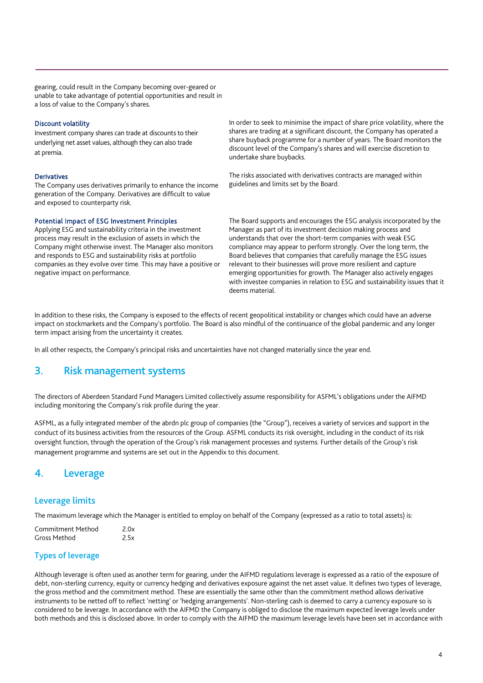gearing, could result in the Company becoming over-geared or unable to take advantage of potential opportunities and result in a loss of value to the Company's shares.

## Discount volatility

Investment company shares can trade at discounts to their underlying net asset values, although they can also trade at premia.

### Derivatives

The Company uses derivatives primarily to enhance the income generation of the Company. Derivatives are difficult to value and exposed to counterparty risk.

#### Potential Impact of ESG Investment Principles

Applying ESG and sustainability criteria in the investment process may result in the exclusion of assets in which the Company might otherwise invest. The Manager also monitors and responds to ESG and sustainability risks at portfolio companies as they evolve over time. This may have a positive or negative impact on performance.

In order to seek to minimise the impact of share price volatility, where the shares are trading at a significant discount, the Company has operated a share buyback programme for a number of years. The Board monitors the discount level of the Company's shares and will exercise discretion to undertake share buybacks.

The risks associated with derivatives contracts are managed within guidelines and limits set by the Board.

The Board supports and encourages the ESG analysis incorporated by the Manager as part of its investment decision making process and understands that over the short-term companies with weak ESG compliance may appear to perform strongly. Over the long term, the Board believes that companies that carefully manage the ESG issues relevant to their businesses will prove more resilient and capture emerging opportunities for growth. The Manager also actively engages with investee companies in relation to ESG and sustainability issues that it deems material.

In addition to these risks, the Company is exposed to the effects of recent geopolitical instability or changes which could have an adverse impact on stockmarkets and the Company's portfolio. The Board is also mindful of the continuance of the global pandemic and any longer term impact arising from the uncertainty it creates.

In all other respects, the Company's principal risks and uncertainties have not changed materially since the year end.

## 3. Risk management systems

The directors of Aberdeen Standard Fund Managers Limited collectively assume responsibility for ASFML's obligations under the AIFMD including monitoring the Company's risk profile during the year.

ASFML, as a fully integrated member of the abrdn plc group of companies (the "Group"), receives a variety of services and support in the conduct of its business activities from the resources of the Group. ASFML conducts its risk oversight, including in the conduct of its risk oversight function, through the operation of the Group's risk management processes and systems. Further details of the Group's risk management programme and systems are set out in the Appendix to this document.

## 4. Leverage

## Leverage limits

The maximum leverage which the Manager is entitled to employ on behalf of the Company (expressed as a ratio to total assets) is:

| Commitment Method | 2.0x |
|-------------------|------|
| Gross Method      | 2.5x |

## Types of leverage

Although leverage is often used as another term for gearing, under the AIFMD regulations leverage is expressed as a ratio of the exposure of debt, non-sterling currency, equity or currency hedging and derivatives exposure against the net asset value. It defines two types of leverage, the gross method and the commitment method. These are essentially the same other than the commitment method allows derivative instruments to be netted off to reflect 'netting' or 'hedging arrangements'. Non-sterling cash is deemed to carry a currency exposure so is considered to be leverage. In accordance with the AIFMD the Company is obliged to disclose the maximum expected leverage levels under both methods and this is disclosed above. In order to comply with the AIFMD the maximum leverage levels have been set in accordance with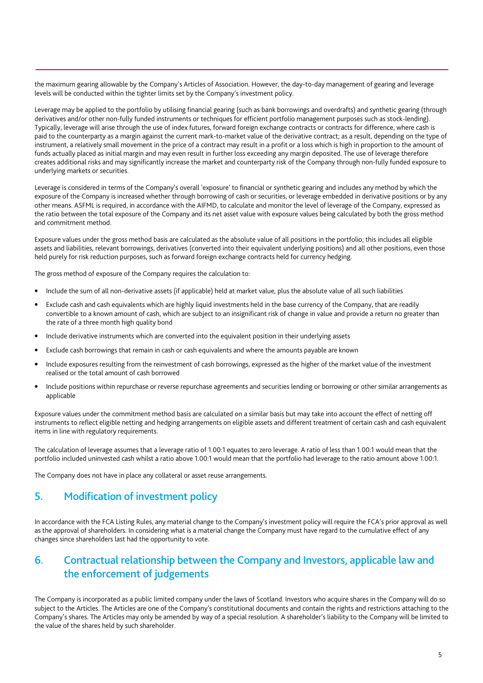the maximum gearing allowable by the Company's Articles of Association. However, the day-to-day management of gearing and leverage levels will be conducted within the tighter limits set by the Company's investment policy.

Leverage may be applied to the portfolio by utilising financial gearing (such as bank borrowings and overdrafts) and synthetic gearing (through derivatives and/or other non-fully funded instruments or techniques for efficient portfolio management purposes such as stock-lending). Typically, leverage will arise through the use of index futures, forward foreign exchange contracts or contracts for difference, where cash is paid to the counterparty as a margin against the current mark-to-market value of the derivative contract; as a result, depending on the type of instrument, a relatively small movement in the price of a contract may result in a profit or a loss which is high in proportion to the amount of funds actually placed as initial margin and may even result in further loss exceeding any margin deposited. The use of leverage therefore creates additional risks and may significantly increase the market and counterparty risk of the Company through non-fully funded exposure to underlying markets or securities.

Leverage is considered in terms of the Company's overall 'exposure' to financial or synthetic gearing and includes any method by which the exposure of the Company is increased whether through borrowing of cash or securities, or leverage embedded in derivative positions or by any other means. ASFML is required, in accordance with the AIFMD, to calculate and monitor the level of leverage of the Company, expressed as the ratio between the total exposure of the Company and its net asset value with exposure values being calculated by both the gross method and commitment method.

Exposure values under the gross method basis are calculated as the absolute value of all positions in the portfolio; this includes all eligible assets and liabilities, relevant borrowings, derivatives (converted into their equivalent underlying positions) and all other positions, even those held purely for risk reduction purposes, such as forward foreign exchange contracts held for currency hedging.

The gross method of exposure of the Company requires the calculation to:

- Include the sum of all non-derivative assets (if applicable) held at market value, plus the absolute value of all such liabilities
- Exclude cash and cash equivalents which are highly liquid investments held in the base currency of the Company, that are readily convertible to a known amount of cash, which are subject to an insignificant risk of change in value and provide a return no greater than the rate of a three month high quality bond
- Include derivative instruments which are converted into the equivalent position in their underlying assets
- Exclude cash borrowings that remain in cash or cash equivalents and where the amounts payable are known
- Include exposures resulting from the reinvestment of cash borrowings, expressed as the higher of the market value of the investment realised or the total amount of cash borrowed
- Include positions within repurchase or reverse repurchase agreements and securities lending or borrowing or other similar arrangements as applicable

Exposure values under the commitment method basis are calculated on a similar basis but may take into account the effect of netting off instruments to reflect eligible netting and hedging arrangements on eligible assets and different treatment of certain cash and cash equivalent items in line with regulatory requirements.

The calculation of leverage assumes that a leverage ratio of 1.00:1 equates to zero leverage. A ratio of less than 1.00:1 would mean that the portfolio included uninvested cash whilst a ratio above 1.00:1 would mean that the portfolio had leverage to the ratio amount above 1.00:1.

The Company does not have in place any collateral or asset reuse arrangements.

# 5. Modification of investment policy

In accordance with the FCA Listing Rules, any material change to the Company's investment policy will require the FCA's prior approval as well as the approval of shareholders. In considering what is a material change the Company must have regard to the cumulative effect of any changes since shareholders last had the opportunity to vote.

# 6. Contractual relationship between the Company and Investors, applicable law and the enforcement of judgements

The Company is incorporated as a public limited company under the laws of Scotland. Investors who acquire shares in the Company will do so subject to the Articles. The Articles are one of the Company's constitutional documents and contain the rights and restrictions attaching to the Company's shares. The Articles may only be amended by way of a special resolution. A shareholder's liability to the Company will be limited to the value of the shares held by such shareholder.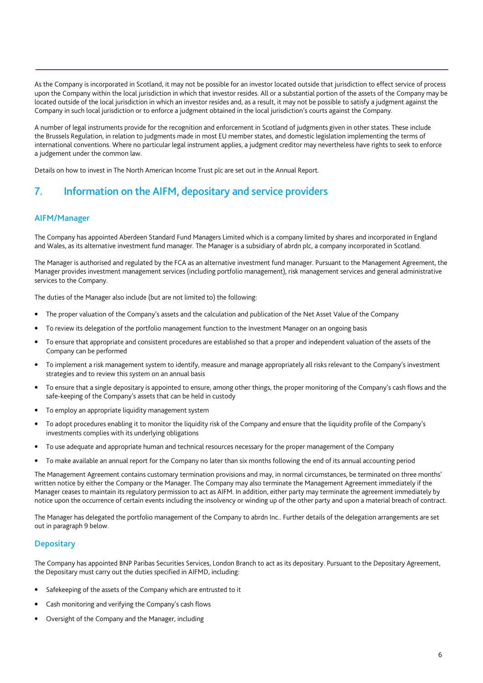As the Company is incorporated in Scotland, it may not be possible for an investor located outside that jurisdiction to effect service of process upon the Company within the local jurisdiction in which that investor resides. All or a substantial portion of the assets of the Company may be located outside of the local jurisdiction in which an investor resides and, as a result, it may not be possible to satisfy a judgment against the Company in such local jurisdiction or to enforce a judgment obtained in the local jurisdiction's courts against the Company.

A number of legal instruments provide for the recognition and enforcement in Scotland of judgments given in other states. These include the Brussels Regulation, in relation to judgments made in most EU member states, and domestic legislation implementing the terms of international conventions. Where no particular legal instrument applies, a judgment creditor may nevertheless have rights to seek to enforce a judgement under the common law.

Details on how to invest in The North American Income Trust plc are set out in the Annual Report.

# 7. Information on the AIFM, depositary and service providers

## AIFM/Manager

The Company has appointed Aberdeen Standard Fund Managers Limited which is a company limited by shares and incorporated in England and Wales, as its alternative investment fund manager. The Manager is a subsidiary of abrdn plc, a company incorporated in Scotland.

The Manager is authorised and regulated by the FCA as an alternative investment fund manager. Pursuant to the Management Agreement, the Manager provides investment management services (including portfolio management), risk management services and general administrative services to the Company.

The duties of the Manager also include (but are not limited to) the following:

- The proper valuation of the Company's assets and the calculation and publication of the Net Asset Value of the Company
- To review its delegation of the portfolio management function to the Investment Manager on an ongoing basis
- To ensure that appropriate and consistent procedures are established so that a proper and independent valuation of the assets of the Company can be performed
- To implement a risk management system to identify, measure and manage appropriately all risks relevant to the Company's investment strategies and to review this system on an annual basis
- To ensure that a single depositary is appointed to ensure, among other things, the proper monitoring of the Company's cash flows and the safe-keeping of the Company's assets that can be held in custody
- To employ an appropriate liquidity management system
- To adopt procedures enabling it to monitor the liquidity risk of the Company and ensure that the liquidity profile of the Company's investments complies with its underlying obligations
- To use adequate and appropriate human and technical resources necessary for the proper management of the Company
- To make available an annual report for the Company no later than six months following the end of its annual accounting period

The Management Agreement contains customary termination provisions and may, in normal circumstances, be terminated on three months' written notice by either the Company or the Manager. The Company may also terminate the Management Agreement immediately if the Manager ceases to maintain its regulatory permission to act as AIFM. In addition, either party may terminate the agreement immediately by notice upon the occurrence of certain events including the insolvency or winding up of the other party and upon a material breach of contract.

The Manager has delegated the portfolio management of the Company to abrdn Inc.. Further details of the delegation arrangements are set out in paragraph 9 below.

## **Depositary**

The Company has appointed BNP Paribas Securities Services, London Branch to act as its depositary. Pursuant to the Depositary Agreement, the Depositary must carry out the duties specified in AIFMD, including:

- Safekeeping of the assets of the Company which are entrusted to it
- Cash monitoring and verifying the Company's cash flows
- Oversight of the Company and the Manager, including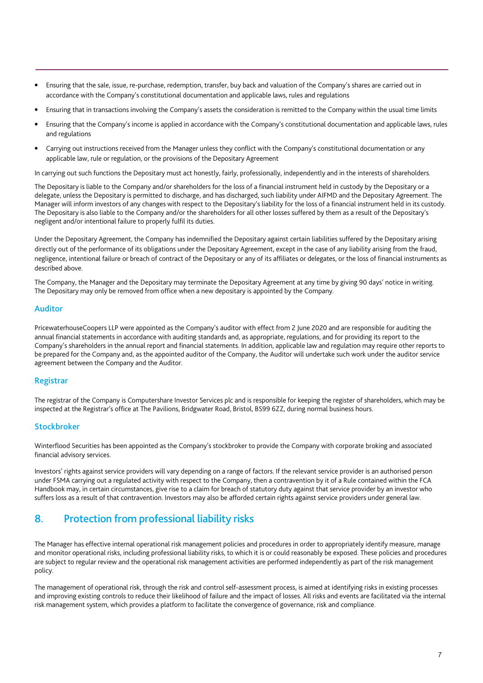- Ensuring that the sale, issue, re-purchase, redemption, transfer, buy back and valuation of the Company's shares are carried out in accordance with the Company's constitutional documentation and applicable laws, rules and regulations
- Ensuring that in transactions involving the Company's assets the consideration is remitted to the Company within the usual time limits
- Ensuring that the Company's income is applied in accordance with the Company's constitutional documentation and applicable laws, rules and regulations
- Carrying out instructions received from the Manager unless they conflict with the Company's constitutional documentation or any applicable law, rule or regulation, or the provisions of the Depositary Agreement

In carrying out such functions the Depositary must act honestly, fairly, professionally, independently and in the interests of shareholders.

The Depositary is liable to the Company and/or shareholders for the loss of a financial instrument held in custody by the Depositary or a delegate, unless the Depositary is permitted to discharge, and has discharged, such liability under AIFMD and the Depositary Agreement. The Manager will inform investors of any changes with respect to the Depositary's liability for the loss of a financial instrument held in its custody. The Depositary is also liable to the Company and/or the shareholders for all other losses suffered by them as a result of the Depositary's negligent and/or intentional failure to properly fulfil its duties.

Under the Depositary Agreement, the Company has indemnified the Depositary against certain liabilities suffered by the Depositary arising directly out of the performance of its obligations under the Depositary Agreement, except in the case of any liability arising from the fraud, negligence, intentional failure or breach of contract of the Depositary or any of its affiliates or delegates, or the loss of financial instruments as described above.

The Company, the Manager and the Depositary may terminate the Depositary Agreement at any time by giving 90 days' notice in writing. The Depositary may only be removed from office when a new depositary is appointed by the Company.

## Auditor

PricewaterhouseCoopers LLP were appointed as the Company's auditor with effect from 2 June 2020 and are responsible for auditing the annual financial statements in accordance with auditing standards and, as appropriate, regulations, and for providing its report to the Company's shareholders in the annual report and financial statements. In addition, applicable law and regulation may require other reports to be prepared for the Company and, as the appointed auditor of the Company, the Auditor will undertake such work under the auditor service agreement between the Company and the Auditor.

## Registrar

The registrar of the Company is Computershare Investor Services plc and is responsible for keeping the register of shareholders, which may be inspected at the Registrar's office at The Pavilions, Bridgwater Road, Bristol, BS99 6ZZ, during normal business hours.

## Stockbroker

Winterflood Securities has been appointed as the Company's stockbroker to provide the Company with corporate broking and associated financial advisory services.

Investors' rights against service providers will vary depending on a range of factors. If the relevant service provider is an authorised person under FSMA carrying out a regulated activity with respect to the Company, then a contravention by it of a Rule contained within the FCA Handbook may, in certain circumstances, give rise to a claim for breach of statutory duty against that service provider by an investor who suffers loss as a result of that contravention. Investors may also be afforded certain rights against service providers under general law.

## 8. Protection from professional liability risks

The Manager has effective internal operational risk management policies and procedures in order to appropriately identify measure, manage and monitor operational risks, including professional liability risks, to which it is or could reasonably be exposed. These policies and procedures are subject to regular review and the operational risk management activities are performed independently as part of the risk management policy.

The management of operational risk, through the risk and control self-assessment process, is aimed at identifying risks in existing processes and improving existing controls to reduce their likelihood of failure and the impact of losses. All risks and events are facilitated via the internal risk management system, which provides a platform to facilitate the convergence of governance, risk and compliance.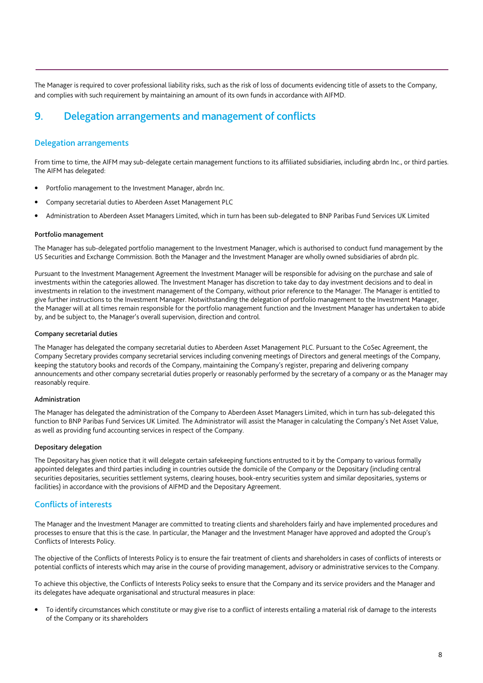The Manager is required to cover professional liability risks, such as the risk of loss of documents evidencing title of assets to the Company, and complies with such requirement by maintaining an amount of its own funds in accordance with AIFMD.

# 9. Delegation arrangements and management of conflicts

## Delegation arrangements

From time to time, the AIFM may sub-delegate certain management functions to its affiliated subsidiaries, including abrdn Inc., or third parties. The AIFM has delegated:

- Portfolio management to the Investment Manager, abrdn Inc.
- Company secretarial duties to Aberdeen Asset Management PLC
- Administration to Aberdeen Asset Managers Limited, which in turn has been sub-delegated to BNP Paribas Fund Services UK Limited

#### Portfolio management

The Manager has sub-delegated portfolio management to the Investment Manager, which is authorised to conduct fund management by the US Securities and Exchange Commission. Both the Manager and the Investment Manager are wholly owned subsidiaries of abrdn plc.

Pursuant to the Investment Management Agreement the Investment Manager will be responsible for advising on the purchase and sale of investments within the categories allowed. The Investment Manager has discretion to take day to day investment decisions and to deal in investments in relation to the investment management of the Company, without prior reference to the Manager. The Manager is entitled to give further instructions to the Investment Manager. Notwithstanding the delegation of portfolio management to the Investment Manager, the Manager will at all times remain responsible for the portfolio management function and the Investment Manager has undertaken to abide by, and be subject to, the Manager's overall supervision, direction and control.

#### Company secretarial duties

The Manager has delegated the company secretarial duties to Aberdeen Asset Management PLC. Pursuant to the CoSec Agreement, the Company Secretary provides company secretarial services including convening meetings of Directors and general meetings of the Company, keeping the statutory books and records of the Company, maintaining the Company's register, preparing and delivering company announcements and other company secretarial duties properly or reasonably performed by the secretary of a company or as the Manager may reasonably require.

#### Administration

The Manager has delegated the administration of the Company to Aberdeen Asset Managers Limited, which in turn has sub-delegated this function to BNP Paribas Fund Services UK Limited. The Administrator will assist the Manager in calculating the Company's Net Asset Value, as well as providing fund accounting services in respect of the Company.

### Depositary delegation

The Depositary has given notice that it will delegate certain safekeeping functions entrusted to it by the Company to various formally appointed delegates and third parties including in countries outside the domicile of the Company or the Depositary (including central securities depositaries, securities settlement systems, clearing houses, book-entry securities system and similar depositaries, systems or facilities) in accordance with the provisions of AIFMD and the Depositary Agreement.

## Conflicts of interests

The Manager and the Investment Manager are committed to treating clients and shareholders fairly and have implemented procedures and processes to ensure that this is the case. In particular, the Manager and the Investment Manager have approved and adopted the Group's Conflicts of Interests Policy.

The objective of the Conflicts of Interests Policy is to ensure the fair treatment of clients and shareholders in cases of conflicts of interests or potential conflicts of interests which may arise in the course of providing management, advisory or administrative services to the Company.

To achieve this objective, the Conflicts of Interests Policy seeks to ensure that the Company and its service providers and the Manager and its delegates have adequate organisational and structural measures in place:

• To identify circumstances which constitute or may give rise to a conflict of interests entailing a material risk of damage to the interests of the Company or its shareholders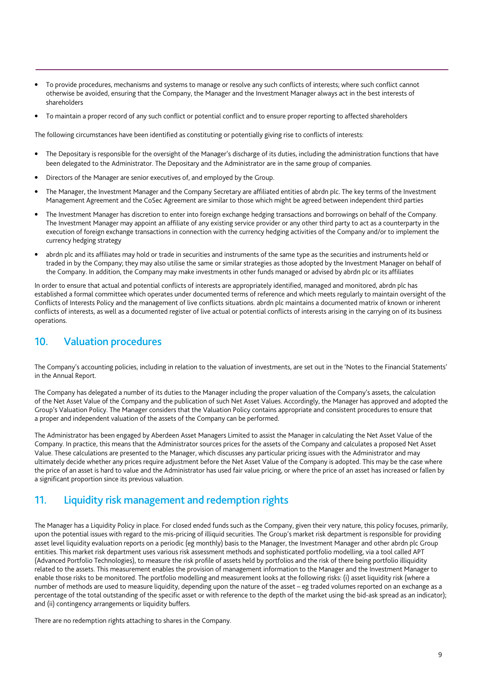- To provide procedures, mechanisms and systems to manage or resolve any such conflicts of interests; where such conflict cannot otherwise be avoided, ensuring that the Company, the Manager and the Investment Manager always act in the best interests of shareholders
- To maintain a proper record of any such conflict or potential conflict and to ensure proper reporting to affected shareholders

The following circumstances have been identified as constituting or potentially giving rise to conflicts of interests:

- The Depositary is responsible for the oversight of the Manager's discharge of its duties, including the administration functions that have been delegated to the Administrator. The Depositary and the Administrator are in the same group of companies.
- Directors of the Manager are senior executives of, and employed by the Group.
- The Manager, the Investment Manager and the Company Secretary are affiliated entities of abrdn plc. The key terms of the Investment Management Agreement and the CoSec Agreement are similar to those which might be agreed between independent third parties
- The Investment Manager has discretion to enter into foreign exchange hedging transactions and borrowings on behalf of the Company. The Investment Manager may appoint an affiliate of any existing service provider or any other third party to act as a counterparty in the execution of foreign exchange transactions in connection with the currency hedging activities of the Company and/or to implement the currency hedging strategy
- abrdn plc and its affiliates may hold or trade in securities and instruments of the same type as the securities and instruments held or traded in by the Company; they may also utilise the same or similar strategies as those adopted by the Investment Manager on behalf of the Company. In addition, the Company may make investments in other funds managed or advised by abrdn plc or its affiliates

In order to ensure that actual and potential conflicts of interests are appropriately identified, managed and monitored, abrdn plc has established a formal committee which operates under documented terms of reference and which meets regularly to maintain oversight of the Conflicts of Interests Policy and the management of live conflicts situations. abrdn plc maintains a documented matrix of known or inherent conflicts of interests, as well as a documented register of live actual or potential conflicts of interests arising in the carrying on of its business operations.

## 10. Valuation procedures

The Company's accounting policies, including in relation to the valuation of investments, are set out in the 'Notes to the Financial Statements' in the Annual Report.

The Company has delegated a number of its duties to the Manager including the proper valuation of the Company's assets, the calculation of the Net Asset Value of the Company and the publication of such Net Asset Values. Accordingly, the Manager has approved and adopted the Group's Valuation Policy. The Manager considers that the Valuation Policy contains appropriate and consistent procedures to ensure that a proper and independent valuation of the assets of the Company can be performed.

The Administrator has been engaged by Aberdeen Asset Managers Limited to assist the Manager in calculating the Net Asset Value of the Company. In practice, this means that the Administrator sources prices for the assets of the Company and calculates a proposed Net Asset Value. These calculations are presented to the Manager, which discusses any particular pricing issues with the Administrator and may ultimately decide whether any prices require adjustment before the Net Asset Value of the Company is adopted. This may be the case where the price of an asset is hard to value and the Administrator has used fair value pricing, or where the price of an asset has increased or fallen by a significant proportion since its previous valuation.

## 11. Liquidity risk management and redemption rights

The Manager has a Liquidity Policy in place. For closed ended funds such as the Company, given their very nature, this policy focuses, primarily, upon the potential issues with regard to the mis-pricing of illiquid securities. The Group's market risk department is responsible for providing asset level liquidity evaluation reports on a periodic (eg monthly) basis to the Manager, the Investment Manager and other abrdn plc Group entities. This market risk department uses various risk assessment methods and sophisticated portfolio modelling, via a tool called APT (Advanced Portfolio Technologies), to measure the risk profile of assets held by portfolios and the risk of there being portfolio illiquidity related to the assets. This measurement enables the provision of management information to the Manager and the Investment Manager to enable those risks to be monitored. The portfolio modelling and measurement looks at the following risks: (i) asset liquidity risk (where a number of methods are used to measure liquidity, depending upon the nature of the asset – eg traded volumes reported on an exchange as a percentage of the total outstanding of the specific asset or with reference to the depth of the market using the bid-ask spread as an indicator); and (ii) contingency arrangements or liquidity buffers.

There are no redemption rights attaching to shares in the Company.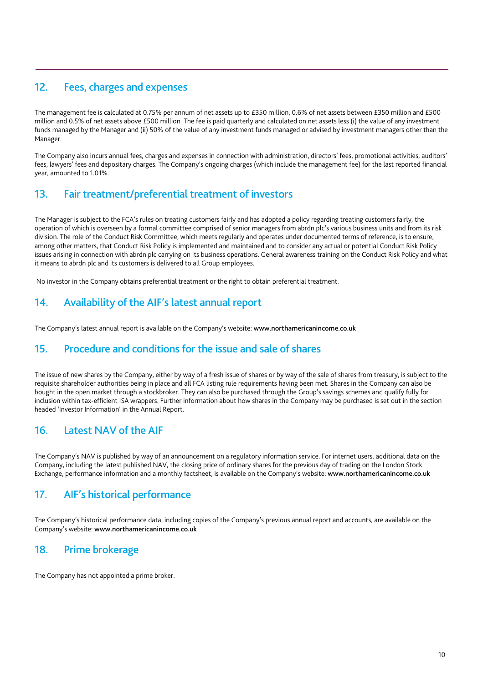# 12. Fees, charges and expenses

The management fee is calculated at 0.75% per annum of net assets up to £350 million, 0.6% of net assets between £350 million and £500 million and 0.5% of net assets above £500 million. The fee is paid quarterly and calculated on net assets less (i) the value of any investment funds managed by the Manager and (ii) 50% of the value of any investment funds managed or advised by investment managers other than the Manager.

The Company also incurs annual fees, charges and expenses in connection with administration, directors' fees, promotional activities, auditors' fees, lawyers' fees and depositary charges. The Company's ongoing charges (which include the management fee) for the last reported financial year, amounted to 1.01%.

# 13. Fair treatment/preferential treatment of investors

The Manager is subject to the FCA's rules on treating customers fairly and has adopted a policy regarding treating customers fairly, the operation of which is overseen by a formal committee comprised of senior managers from abrdn plc's various business units and from its risk division. The role of the Conduct Risk Committee, which meets regularly and operates under documented terms of reference, is to ensure, among other matters, that Conduct Risk Policy is implemented and maintained and to consider any actual or potential Conduct Risk Policy issues arising in connection with abrdn plc carrying on its business operations. General awareness training on the Conduct Risk Policy and what it means to abrdn plc and its customers is delivered to all Group employees.

No investor in the Company obtains preferential treatment or the right to obtain preferential treatment.

# 14. Availability of the AIF's latest annual report

The Company's latest annual report is available on the Company's website: www.northamericanincome.co.uk

# 15. Procedure and conditions for the issue and sale of shares

The issue of new shares by the Company, either by way of a fresh issue of shares or by way of the sale of shares from treasury, is subject to the requisite shareholder authorities being in place and all FCA listing rule requirements having been met. Shares in the Company can also be bought in the open market through a stockbroker. They can also be purchased through the Group's savings schemes and qualify fully for inclusion within tax-efficient ISA wrappers. Further information about how shares in the Company may be purchased is set out in the section headed 'Investor Information' in the Annual Report.

# 16. Latest NAV of the AIF

The Company's NAV is published by way of an announcement on a regulatory information service. For internet users, additional data on the Company, including the latest published NAV, the closing price of ordinary shares for the previous day of trading on the London Stock Exchange, performance information and a monthly factsheet, is available on the Company's website: www.northamericanincome.co.uk

# 17. AIF's historical performance

The Company's historical performance data, including copies of the Company's previous annual report and accounts, are available on the Company's website: www.northamericanincome.co.uk

# 18. Prime brokerage

The Company has not appointed a prime broker.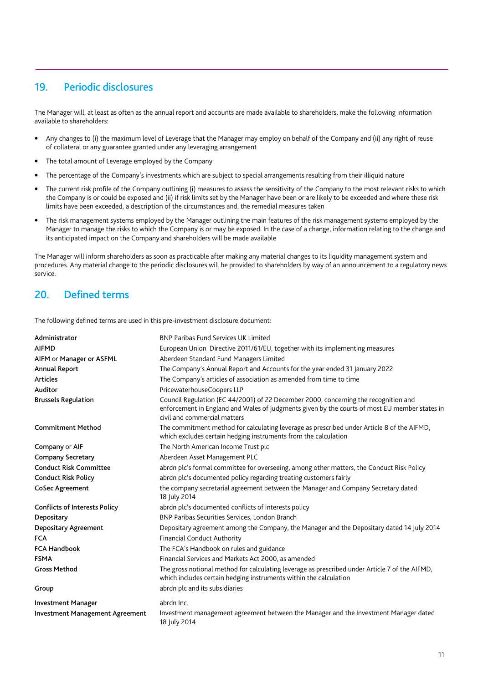# 19. Periodic disclosures

The Manager will, at least as often as the annual report and accounts are made available to shareholders, make the following information available to shareholders:

- Any changes to (i) the maximum level of Leverage that the Manager may employ on behalf of the Company and (ii) any right of reuse of collateral or any guarantee granted under any leveraging arrangement
- The total amount of Leverage employed by the Company
- The percentage of the Company's investments which are subject to special arrangements resulting from their illiquid nature
- The current risk profile of the Company outlining (i) measures to assess the sensitivity of the Company to the most relevant risks to which the Company is or could be exposed and (ii) if risk limits set by the Manager have been or are likely to be exceeded and where these risk limits have been exceeded, a description of the circumstances and, the remedial measures taken
- The risk management systems employed by the Manager outlining the main features of the risk management systems employed by the Manager to manage the risks to which the Company is or may be exposed. In the case of a change, information relating to the change and its anticipated impact on the Company and shareholders will be made available

The Manager will inform shareholders as soon as practicable after making any material changes to its liquidity management system and procedures. Any material change to the periodic disclosures will be provided to shareholders by way of an announcement to a regulatory news service.

## 20. Defined terms

The following defined terms are used in this pre-investment disclosure document:

| Administrator                          | <b>BNP Paribas Fund Services UK Limited</b>                                                                                                                                                                          |
|----------------------------------------|----------------------------------------------------------------------------------------------------------------------------------------------------------------------------------------------------------------------|
| <b>AIFMD</b>                           | European Union Directive 2011/61/EU, together with its implementing measures                                                                                                                                         |
| AIFM or Manager or ASFML               | Aberdeen Standard Fund Managers Limited                                                                                                                                                                              |
| <b>Annual Report</b>                   | The Company's Annual Report and Accounts for the year ended 31 January 2022                                                                                                                                          |
| <b>Articles</b>                        | The Company's articles of association as amended from time to time                                                                                                                                                   |
| Auditor                                | PricewaterhouseCoopers LLP                                                                                                                                                                                           |
| <b>Brussels Regulation</b>             | Council Regulation (EC 44/2001) of 22 December 2000, concerning the recognition and<br>enforcement in England and Wales of judgments given by the courts of most EU member states in<br>civil and commercial matters |
| <b>Commitment Method</b>               | The commitment method for calculating leverage as prescribed under Article 8 of the AIFMD,<br>which excludes certain hedging instruments from the calculation                                                        |
| Company or AIF                         | The North American Income Trust plc                                                                                                                                                                                  |
| <b>Company Secretary</b>               | Aberdeen Asset Management PLC                                                                                                                                                                                        |
| <b>Conduct Risk Committee</b>          | abrdn plc's formal committee for overseeing, among other matters, the Conduct Risk Policy                                                                                                                            |
| <b>Conduct Risk Policy</b>             | abrdn plc's documented policy regarding treating customers fairly                                                                                                                                                    |
| <b>CoSec Agreement</b>                 | the company secretarial agreement between the Manager and Company Secretary dated<br>18 July 2014                                                                                                                    |
| <b>Conflicts of Interests Policy</b>   | abrdn plc's documented conflicts of interests policy                                                                                                                                                                 |
| Depositary                             | BNP Paribas Securities Services, London Branch                                                                                                                                                                       |
| <b>Depositary Agreement</b>            | Depositary agreement among the Company, the Manager and the Depositary dated 14 July 2014                                                                                                                            |
| <b>FCA</b>                             | <b>Financial Conduct Authority</b>                                                                                                                                                                                   |
| <b>FCA Handbook</b>                    | The FCA's Handbook on rules and guidance                                                                                                                                                                             |
| <b>FSMA</b>                            | Financial Services and Markets Act 2000, as amended                                                                                                                                                                  |
| <b>Gross Method</b>                    | The gross notional method for calculating leverage as prescribed under Article 7 of the AIFMD,<br>which includes certain hedging instruments within the calculation                                                  |
| Group                                  | abrdn plc and its subsidiaries                                                                                                                                                                                       |
| <b>Investment Manager</b>              | abrdn Inc.                                                                                                                                                                                                           |
| <b>Investment Management Agreement</b> | Investment management agreement between the Manager and the Investment Manager dated<br>18 July 2014                                                                                                                 |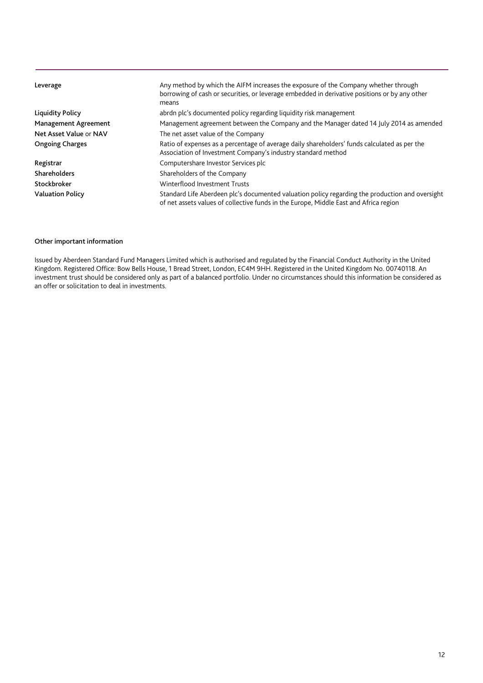| Leverage                    | Any method by which the AIFM increases the exposure of the Company whether through<br>borrowing of cash or securities, or leverage embedded in derivative positions or by any other<br>means |
|-----------------------------|----------------------------------------------------------------------------------------------------------------------------------------------------------------------------------------------|
| Liquidity Policy            | abrdn plc's documented policy regarding liquidity risk management                                                                                                                            |
| <b>Management Agreement</b> | Management agreement between the Company and the Manager dated 14 July 2014 as amended                                                                                                       |
| Net Asset Value or NAV      | The net asset value of the Company                                                                                                                                                           |
| <b>Ongoing Charges</b>      | Ratio of expenses as a percentage of average daily shareholders' funds calculated as per the<br>Association of Investment Company's industry standard method                                 |
| Registrar                   | Computershare Investor Services plc                                                                                                                                                          |
| <b>Shareholders</b>         | Shareholders of the Company                                                                                                                                                                  |
| Stockbroker                 | Winterflood Investment Trusts                                                                                                                                                                |
| <b>Valuation Policy</b>     | Standard Life Aberdeen plc's documented valuation policy regarding the production and oversight<br>of net assets values of collective funds in the Europe, Middle East and Africa region     |

## Other important information

Issued by Aberdeen Standard Fund Managers Limited which is authorised and regulated by the Financial Conduct Authority in the United Kingdom. Registered Office: Bow Bells House, 1 Bread Street, London, EC4M 9HH. Registered in the United Kingdom No. 00740118. An investment trust should be considered only as part of a balanced portfolio. Under no circumstances should this information be considered as an offer or solicitation to deal in investments.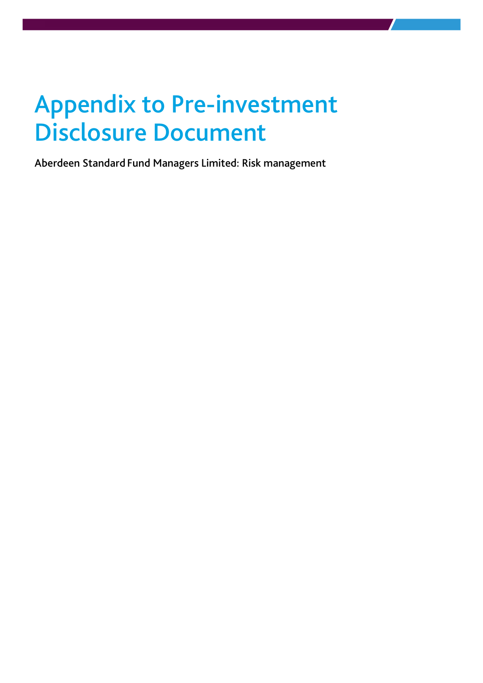# Appendix to Pre-investment Disclosure Document

Aberdeen Standard Fund Managers Limited: Risk management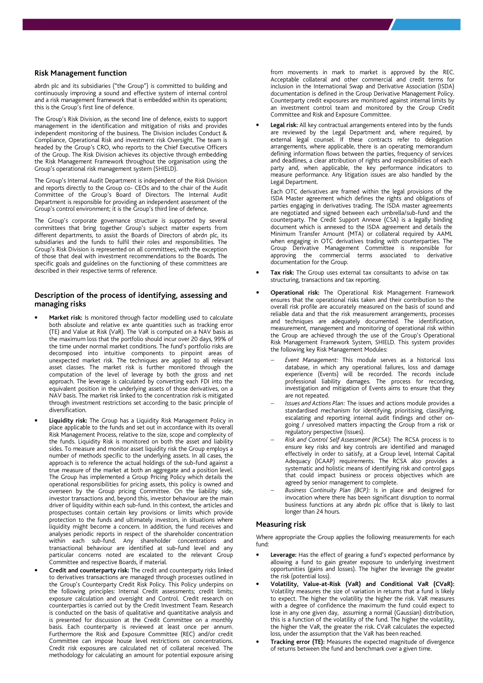#### **Risk Management function**

abrdn plc and its subsidiaries ("the Group") is committed to building and continuously improving a sound and effective system of internal control and a risk management framework that is embedded within its operations; this is the Group's first line of defence.

The Group's Risk Division, as the second line of defence, exists to support management in the identification and mitigation of risks and provides independent monitoring of the business. The Division includes Conduct & Compliance, Operational Risk and investment risk Oversight. The team is headed by the Group's CRO, who reports to the Chief Executive Officers of the Group. The Risk Division achieves its objective through embedding the Risk Management Framework throughout the organisation using the Group's operational risk management system (SHIELD).

The Group's Internal Audit Department is independent of the Risk Division and reports directly to the Group co- CEOs and to the chair of the Audit Committee of the Group's Board of Directors. The Internal Audit Department is responsible for providing an independent assessment of the Group's control environment; it is the Group's third line of defence.

The Group's corporate governance structure is supported by several committees that bring together Group's subject matter experts from different departments, to assist the Boards of Directors of abrdn plc, its subsidiaries and the funds to fulfil their roles and responsibilities. The Group's Risk Division is represented on all committees, with the exception of those that deal with investment recommendations to the Boards. The specific goals and guidelines on the functioning of these committees are described in their respective terms of reference.

#### **Description of the process of identifying, assessing and managing risks**

- **Market risk:** Is monitored through factor modelling used to calculate both absolute and relative ex ante quantities such as tracking error (TE) and Value at Risk (VaR). The VaR is computed on a NAV basis as the maximum loss that the portfolio should incur over 20 days, 99% of the time under normal market conditions. The fund's portfolio risks are decomposed into intuitive components to pinpoint areas of unexpected market risk. The techniques are applied to all relevant asset classes. The market risk is further monitored through the computation of the level of leverage by both the gross and net approach. The leverage is calculated by converting each FDI into the equivalent position in the underlying assets of those derivatives, on a NAV basis. The market risk linked to the concentration risk is mitigated through investment restrictions set according to the basic principle of diversification.
- **Liquidity risk:** The Group has a Liquidity Risk Management Policy in place applicable to the funds and set out in accordance with its overall Risk Management Process, relative to the size, scope and complexity of the funds. Liquidity Risk is monitored on both the asset and liability sides. To measure and monitor asset liquidity risk the Group employs a number of methods specific to the underlying assets. In all cases, the approach is to reference the actual holdings of the sub-fund against a true measure of the market at both an aggregate and a position level. The Group has implemented a Group Pricing Policy which details the operational responsibilities for pricing assets, this policy is owned and overseen by the Group pricing Committee. On the liability side, investor transactions and, beyond this, investor behaviour are the main driver of liquidity within each sub-fund. In this context, the articles and prospectuses contain certain key provisions or limits which provide protection to the funds and ultimately investors, in situations where liquidity might become a concern. In addition, the fund receives and analyses periodic reports in respect of the shareholder concentration within each sub-fund. Any shareholder concentrations and transactional behaviour are identified at sub-fund level and any particular concerns noted are escalated to the relevant Group Committee and respective Boards, if material.
	- **Credit and counterparty risk:** The credit and counterparty risks linked to derivatives transactions are managed through processes outlined in the Group's Counterparty Credit Risk Policy. This Policy underpins on the following principles: Internal Credit assessments; credit limits; exposure calculation and oversight and Control. Credit research on counterparties is carried out by the Credit Investment Team. Research is conducted on the basis of qualitative and quantitative analysis and is presented for discussion at the Credit Committee on a monthly basis. Each counterparty is reviewed at least once per annum. Furthermore the Risk and Exposure Committee (REC) and/or credit Committee can impose house level restrictions on concentrations. Credit risk exposures are calculated net of collateral received. The methodology for calculating an amount for potential exposure arising

from movements in mark to market is approved by the REC. Acceptable collateral and other commercial and credit terms for inclusion in the International Swap and Derivative Association (ISDA) documentation is defined in the Group Derivative Management Policy. Counterparty credit exposures are monitored against internal limits by an investment control team and monitored by the Group Credit Committee and Risk and Exposure Committee.

• **Legal risk:** All key contractual arrangements entered into by the funds are reviewed by the Legal Department and, where required, by external legal counsel. If these contracts refer to delegation arrangements, where applicable, there is an operating memorandum defining information flows between the parties, frequency of services and deadlines, a clear attribution of rights and responsibilities of each party and, when applicable, the key performance indicators to measure performance. Any litigation issues are also handled by the Legal Department.

Each OTC derivatives are framed within the legal provisions of the ISDA Master agreement which defines the rights and obligations of parties engaging in derivatives trading. The ISDA master agreements are negotiated and signed between each umbrella/sub-fund and the counterparty. The Credit Support Annexe (CSA) is a legally binding document which is annexed to the ISDA agreement and details the Minimum Transfer Amount (MTA) or collateral required by AAML when engaging in OTC derivatives trading with counterparties. The Group Derivative Management Committee is responsible for approving the commercial terms associated to derivative documentation for the Group.

- **Tax risk:** The Group uses external tax consultants to advise on tax structuring, transactions and tax reporting.
- **Operational risk:** The Operational Risk Management Framework ensures that the operational risks taken and their contribution to the overall risk profile are accurately measured on the basis of sound and reliable data and that the risk measurement arrangements, processes and techniques are adequately documented. The identification, measurement, management and monitoring of operational risk within the Group are achieved through the use of the Group's Operational Risk Management Framework System, SHIELD. This system provides the following key Risk Management Modules:
	- − *Event Management:* This module serves as a historical loss database, in which any operational failures, loss and damage experience (Events) will be recorded. The records include professional liability damages. The process for recording, investigation and mitigation of Events aims to ensure that they are not repeated.
	- *Issues and Actions Plan:* The issues and actions module provides a standardised mechanism for identifying, prioritising, classifying, escalating and reporting internal audit findings and other ongoing / unresolved matters impacting the Group from a risk or regulatory perspective (Issues).
	- − *Risk and Control Self Assessment (RCSA*): The RCSA process is to ensure key risks and key controls are identified and managed effectively in order to satisfy, at a Group level, Internal Capital Adequacy (ICAAP) requirements. The RCSA also provides a systematic and holistic means of identifying risk and control gaps that could impact business or process objectives which are agreed by senior management to complete.
	- Business Continuity Plan (BCP): Is in place and designed for invocation where there has been significant disruption to normal business functions at any abrdn plc office that is likely to last longer than 24 hours.

### **Measuring risk**

Where appropriate the Group applies the following measurements for each fund:

- **Leverage:** Has the effect of gearing a fund's expected performance by allowing a fund to gain greater exposure to underlying investment opportunities (gains and losses). The higher the leverage the greater the risk (potential loss).
- **Volatility, Value-at-Risk (VaR) and Conditional VaR (CVaR):** Volatility measures the size of variation in returns that a fund is likely to expect. The higher the volatility the higher the risk. VaR measures with a degree of confidence the maximum the fund could expect to lose in any one given day, assuming a normal (Gaussian) distribution, this is a function of the volatility of the fund. The higher the volatility, the higher the VaR, the greater the risk. CVaR calculates the expected loss, under the assumption that the VaR has been reached.
- **Tracking error (TE):** Measures the expected magnitude of divergence of returns between the fund and benchmark over a given time.